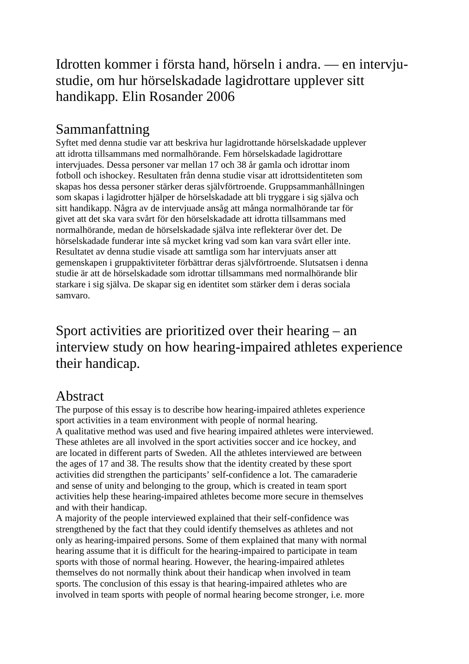## Idrotten kommer i första hand, hörseln i andra. — en intervjustudie, om hur hörselskadade lagidrottare upplever sitt handikapp. Elin Rosander 2006

## Sammanfattning

Syftet med denna studie var att beskriva hur lagidrottande hörselskadade upplever att idrotta tillsammans med normalhörande. Fem hörselskadade lagidrottare intervjuades. Dessa personer var mellan 17 och 38 år gamla och idrottar inom fotboll och ishockey. Resultaten från denna studie visar att idrottsidentiteten som skapas hos dessa personer stärker deras självförtroende. Gruppsammanhållningen som skapas i lagidrotter hjälper de hörselskadade att bli tryggare i sig själva och sitt handikapp. Några av de intervjuade ansåg att många normalhörande tar för givet att det ska vara svårt för den hörselskadade att idrotta tillsammans med normalhörande, medan de hörselskadade själva inte reflekterar över det. De hörselskadade funderar inte så mycket kring vad som kan vara svårt eller inte. Resultatet av denna studie visade att samtliga som har intervjuats anser att gemenskapen i gruppaktiviteter förbättrar deras självförtroende. Slutsatsen i denna studie är att de hörselskadade som idrottar tillsammans med normalhörande blir starkare i sig själva. De skapar sig en identitet som stärker dem i deras sociala samvaro.

Sport activities are prioritized over their hearing – an interview study on how hearing-impaired athletes experience their handicap.

## Abstract

The purpose of this essay is to describe how hearing-impaired athletes experience sport activities in a team environment with people of normal hearing. A qualitative method was used and five hearing impaired athletes were interviewed. These athletes are all involved in the sport activities soccer and ice hockey, and are located in different parts of Sweden. All the athletes interviewed are between the ages of 17 and 38. The results show that the identity created by these sport activities did strengthen the participants' self-confidence a lot. The camaraderie and sense of unity and belonging to the group, which is created in team sport activities help these hearing-impaired athletes become more secure in themselves and with their handicap.

A majority of the people interviewed explained that their self-confidence was strengthened by the fact that they could identify themselves as athletes and not only as hearing-impaired persons. Some of them explained that many with normal hearing assume that it is difficult for the hearing-impaired to participate in team sports with those of normal hearing. However, the hearing-impaired athletes themselves do not normally think about their handicap when involved in team sports. The conclusion of this essay is that hearing-impaired athletes who are involved in team sports with people of normal hearing become stronger, i.e. more